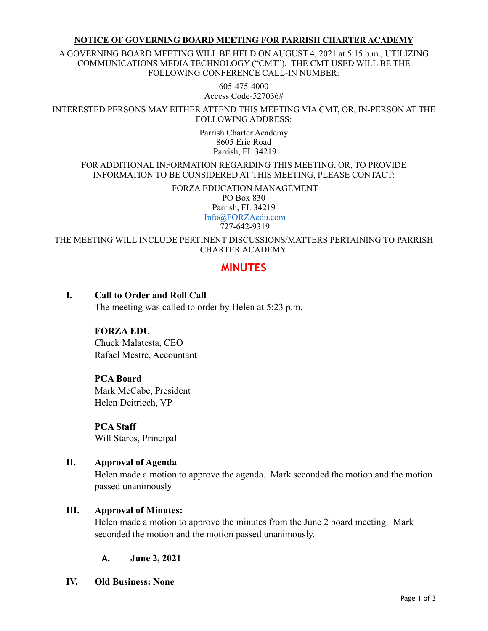#### **NOTICE OF GOVERNING BOARD MEETING FOR PARRISH CHARTER ACADEMY**

A GOVERNING BOARD MEETING WILL BE HELD ON AUGUST 4, 2021 at 5:15 p.m., UTILIZING COMMUNICATIONS MEDIA TECHNOLOGY ("CMT"). THE CMT USED WILL BE THE FOLLOWING CONFERENCE CALL-IN NUMBER:

> 605-475-4000 Access Code-527036#

INTERESTED PERSONS MAY EITHER ATTEND THIS MEETING VIA CMT, OR, IN-PERSON AT THE FOLLOWING ADDRESS:

> Parrish Charter Academy 8605 Erie Road Parrish, FL 34219

#### FOR ADDITIONAL INFORMATION REGARDING THIS MEETING, OR, TO PROVIDE INFORMATION TO BE CONSIDERED AT THIS MEETING, PLEASE CONTACT:

 FORZA EDUCATION MANAGEMENT PO Box 830 Parrish, FL 34219 [Info@FORZAedu.com](mailto:Info@FORZAedu.com)

727-642-9319

THE MEETING WILL INCLUDE PERTINENT DISCUSSIONS/MATTERS PERTAINING TO PARRISH CHARTER ACADEMY.

### **MINUTES**

### **I. Call to Order and Roll Call**

The meeting was called to order by Helen at 5:23 p.m.

#### **FORZA EDU**

Chuck Malatesta, CEO Rafael Mestre, Accountant

#### **PCA Board**

Mark McCabe, President Helen Deitriech, VP

**PCA Staff** Will Staros, Principal

#### **II. Approval of Agenda**

Helen made a motion to approve the agenda. Mark seconded the motion and the motion passed unanimously

#### **III. Approval of Minutes:**

Helen made a motion to approve the minutes from the June 2 board meeting. Mark seconded the motion and the motion passed unanimously.

**A. June 2, 2021**

**IV. Old Business: None**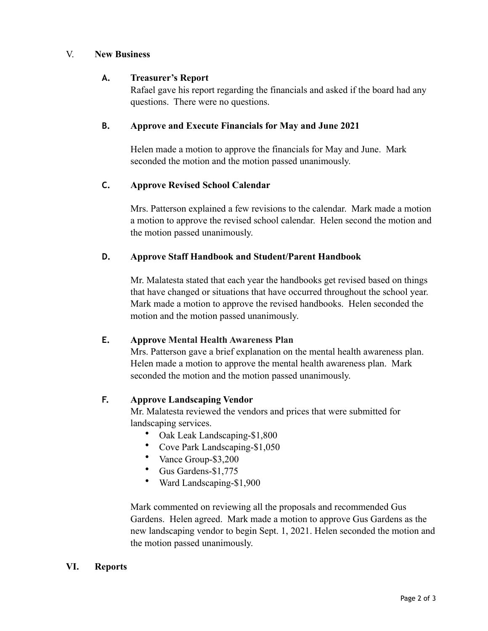### V. **New Business**

### **A. Treasurer's Report**

Rafael gave his report regarding the financials and asked if the board had any questions. There were no questions.

### **B. Approve and Execute Financials for May and June 2021**

Helen made a motion to approve the financials for May and June. Mark seconded the motion and the motion passed unanimously.

# **C. Approve Revised School Calendar**

Mrs. Patterson explained a few revisions to the calendar. Mark made a motion a motion to approve the revised school calendar. Helen second the motion and the motion passed unanimously.

# **D. Approve Staff Handbook and Student/Parent Handbook**

Mr. Malatesta stated that each year the handbooks get revised based on things that have changed or situations that have occurred throughout the school year. Mark made a motion to approve the revised handbooks. Helen seconded the motion and the motion passed unanimously.

# **E. Approve Mental Health Awareness Plan**

Mrs. Patterson gave a brief explanation on the mental health awareness plan. Helen made a motion to approve the mental health awareness plan. Mark seconded the motion and the motion passed unanimously.

# **F. Approve Landscaping Vendor**

Mr. Malatesta reviewed the vendors and prices that were submitted for landscaping services.

- Oak Leak Landscaping-\$1,800
- Cove Park Landscaping-\$1,050
- Vance Group-\$3,200
- Gus Gardens-\$1,775
- Ward Landscaping-\$1,900

Mark commented on reviewing all the proposals and recommended Gus Gardens. Helen agreed. Mark made a motion to approve Gus Gardens as the new landscaping vendor to begin Sept. 1, 2021. Helen seconded the motion and the motion passed unanimously.

# **VI. Reports**